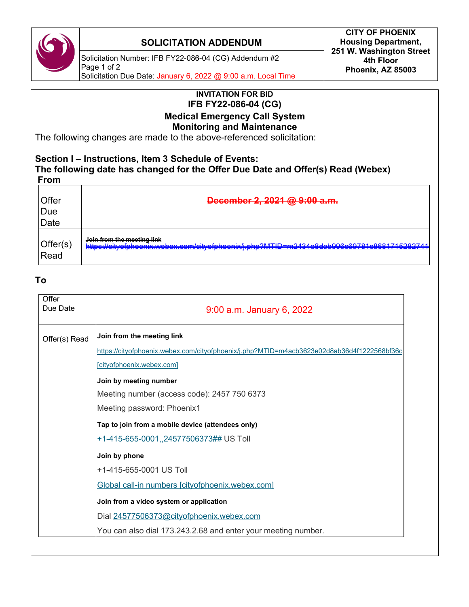

## **SOLICITATION ADDENDUM**

Solicitation Number: IFB FY22-086-04 (CG) Addendum #2 Page 1 of 2 Solicitation Due Date: January 6, 2022 @ 9:00 a.m. Local Time

## **INVITATION FOR BID IFB FY22-086-04 (CG) Medical Emergency Call System Monitoring and Maintenance** The following changes are made to the above-referenced solicitation: **Section I – Instructions, Item 3 Schedule of Events: The following date has changed for the Offer Due Date and Offer(s) Read (Webex) From Offer** Due **Date December 2, 2021 @ 9:00 a.m.** Offer(s) Read **Join from the meeting link** <https://cityofphoenix.webex.com/cityofphoenix/j.php?MTID=m2434e8deb996c69781c8681715282741> **To** Offer<br>Due Date 9:00 a.m. January 6, 2022 Offer(s) Read **Join from the meeting link** [https://cityofphoenix.webex.com/cityofphoenix/j.php?MTID=m4acb3623e02d8ab36d4f1222568bf36c](https://urldefense.com/v3/__https:/cityofphoenix.webex.com/cityofphoenix/j.php?MTID=m4acb3623e02d8ab36d4f1222568bf36c__;!!LkjWUF49MRd51_ry!NOeIyu_NlwTf0WR7DEhGYZKsisidIi7a3Z9_KYhfCXQcfblLIkEQmavoUuogCcOYnk8Wbtw$) [\[cityofphoenix.webex.com\]](https://urldefense.com/v3/__https:/cityofphoenix.webex.com/cityofphoenix/j.php?MTID=m4acb3623e02d8ab36d4f1222568bf36c__;!!LkjWUF49MRd51_ry!NOeIyu_NlwTf0WR7DEhGYZKsisidIi7a3Z9_KYhfCXQcfblLIkEQmavoUuogCcOYnk8Wbtw$) **Join by meeting number** Meeting number (access code): 2457 750 6373 Meeting password: Phoenix1 **Tap to join from a mobile device (attendees only)** [+1-415-655-0001,,24577506373##](tel:%2B1-415-655-0001,,*01*24577506373%23%23*01*) US Toll **Join by phone** +1-415-655-0001 US Toll Global call-in numbers [\[cityofphoenix.webex.com\]](https://urldefense.com/v3/__https:/cityofphoenix.webex.com/cityofphoenix/globalcallin.php?MTID=m071ebff4079412d68e14b650b176bff6__;!!LkjWUF49MRd51_ry!NOeIyu_NlwTf0WR7DEhGYZKsisidIi7a3Z9_KYhfCXQcfblLIkEQmavoUuogCcOYShI4_Y8$) **Join from a video system or application** Dial [24577506373@cityofphoenix.webex.com](sip:24577506373@cityofphoenix.webex.com) You can also dial 173.243.2.68 and enter your meeting number.